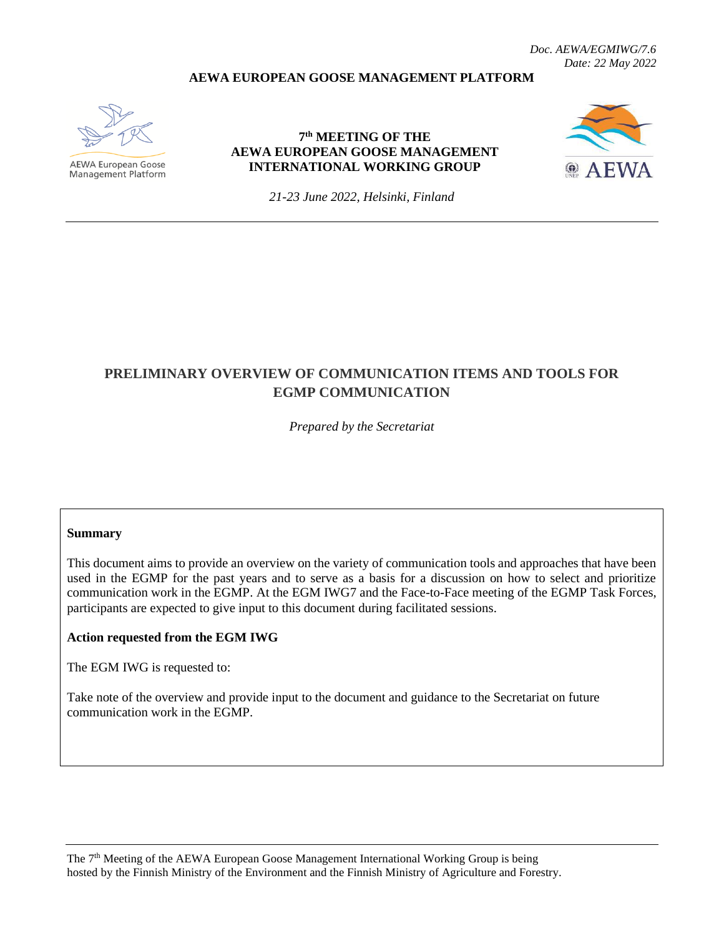#### **AEWA EUROPEAN GOOSE MANAGEMENT PLATFORM**



**AEWA European Goose** Management Platform

#### **7 th MEETING OF THE AEWA EUROPEAN GOOSE MANAGEMENT INTERNATIONAL WORKING GROUP**



*21-23 June 2022, Helsinki, Finland*

# **PRELIMINARY OVERVIEW OF COMMUNICATION ITEMS AND TOOLS FOR EGMP COMMUNICATION**

*Prepared by the Secretariat*

#### **Summary**

This document aims to provide an overview on the variety of communication tools and approaches that have been used in the EGMP for the past years and to serve as a basis for a discussion on how to select and prioritize communication work in the EGMP. At the EGM IWG7 and the Face-to-Face meeting of the EGMP Task Forces, participants are expected to give input to this document during facilitated sessions.

#### **Action requested from the EGM IWG**

The EGM IWG is requested to:

Take note of the overview and provide input to the document and guidance to the Secretariat on future communication work in the EGMP.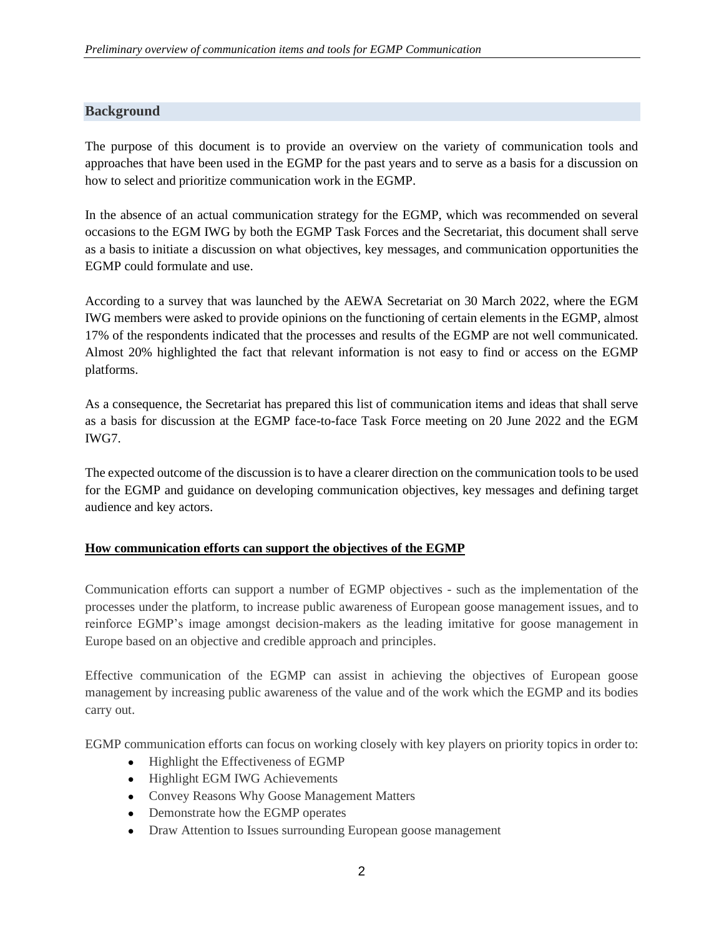# **Background**

The purpose of this document is to provide an overview on the variety of communication tools and approaches that have been used in the EGMP for the past years and to serve as a basis for a discussion on how to select and prioritize communication work in the EGMP.

In the absence of an actual communication strategy for the EGMP, which was recommended on several occasions to the EGM IWG by both the EGMP Task Forces and the Secretariat, this document shall serve as a basis to initiate a discussion on what objectives, key messages, and communication opportunities the EGMP could formulate and use.

According to a survey that was launched by the AEWA Secretariat on 30 March 2022, where the EGM IWG members were asked to provide opinions on the functioning of certain elements in the EGMP, almost 17% of the respondents indicated that the processes and results of the EGMP are not well communicated. Almost 20% highlighted the fact that relevant information is not easy to find or access on the EGMP platforms.

As a consequence, the Secretariat has prepared this list of communication items and ideas that shall serve as a basis for discussion at the EGMP face-to-face Task Force meeting on 20 June 2022 and the EGM IWG7.

The expected outcome of the discussion is to have a clearer direction on the communication tools to be used for the EGMP and guidance on developing communication objectives, key messages and defining target audience and key actors.

# **How communication efforts can support the objectives of the EGMP**

Communication efforts can support a number of EGMP objectives - such as the implementation of the processes under the platform, to increase public awareness of European goose management issues, and to reinforce EGMP's image amongst decision-makers as the leading imitative for goose management in Europe based on an objective and credible approach and principles.

Effective communication of the EGMP can assist in achieving the objectives of European goose management by increasing public awareness of the value and of the work which the EGMP and its bodies carry out.

EGMP communication efforts can focus on working closely with key players on priority topics in order to:

- Highlight the Effectiveness of EGMP
- Highlight EGM IWG Achievements
- Convey Reasons Why Goose Management Matters
- Demonstrate how the EGMP operates
- Draw Attention to Issues surrounding European goose management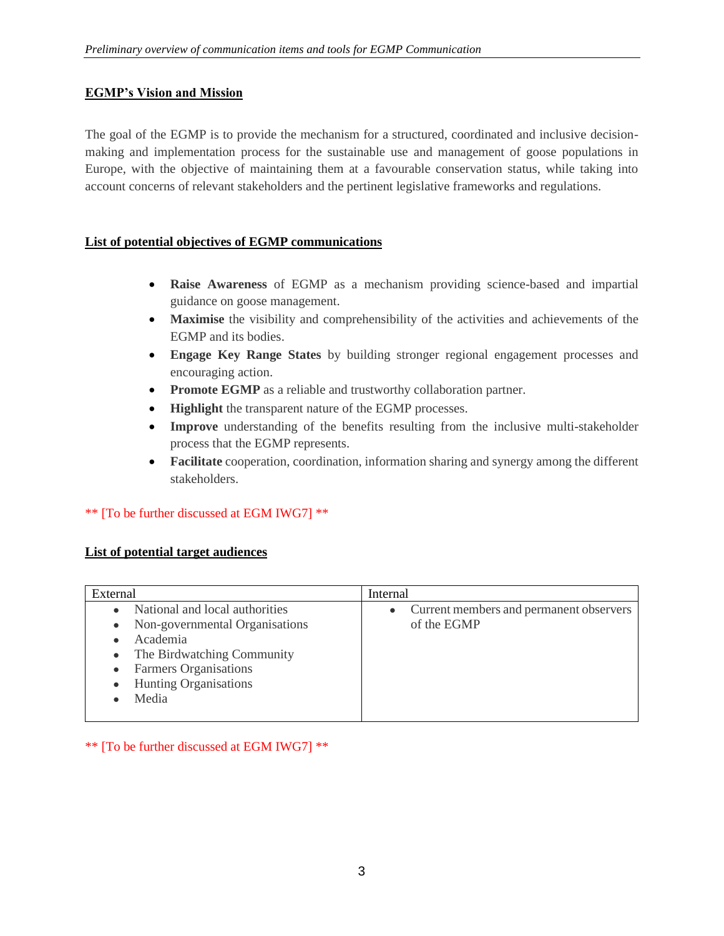# **EGMP's Vision and Mission**

The goal of the EGMP is to provide the mechanism for a structured, coordinated and inclusive decisionmaking and implementation process for the sustainable use and management of goose populations in Europe, with the objective of maintaining them at a favourable conservation status, while taking into account concerns of relevant stakeholders and the pertinent legislative frameworks and regulations.

#### **List of potential objectives of EGMP communications**

- **Raise Awareness** of EGMP as a mechanism providing science-based and impartial guidance on goose management.
- **Maximise** the visibility and comprehensibility of the activities and achievements of the EGMP and its bodies.
- **Engage Key Range States** by building stronger regional engagement processes and encouraging action.
- **Promote EGMP** as a reliable and trustworthy collaboration partner.
- **Highlight** the transparent nature of the EGMP processes.
- **Improve** understanding of the benefits resulting from the inclusive multi-stakeholder process that the EGMP represents.
- **Facilitate** cooperation, coordination, information sharing and synergy among the different stakeholders.

# \*\* [To be further discussed at EGM IWG7] \*\*

# **List of potential target audiences**

| External                       | Internal                                             |
|--------------------------------|------------------------------------------------------|
| National and local authorities | Current members and permanent observers<br>$\bullet$ |
| Non-governmental Organisations | of the EGMP                                          |
| Academia                       |                                                      |
| The Birdwatching Community     |                                                      |
| Farmers Organisations          |                                                      |
| Hunting Organisations          |                                                      |
| Media                          |                                                      |
|                                |                                                      |

\*\* [To be further discussed at EGM IWG7] \*\*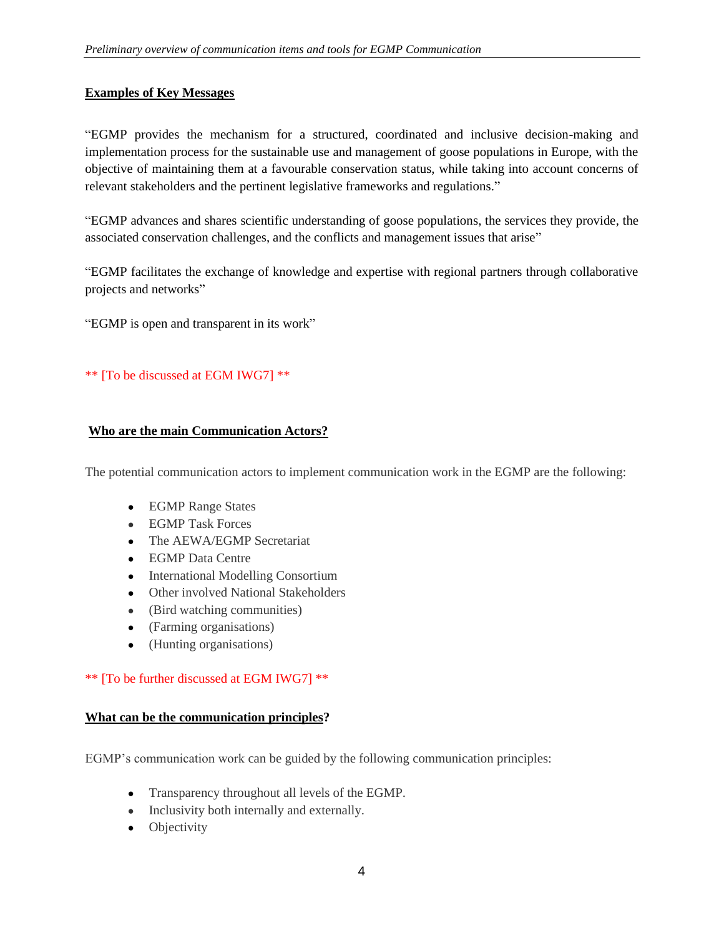# **Examples of Key Messages**

"EGMP provides the mechanism for a structured, coordinated and inclusive decision-making and implementation process for the sustainable use and management of goose populations in Europe, with the objective of maintaining them at a favourable conservation status, while taking into account concerns of relevant stakeholders and the pertinent legislative frameworks and regulations."

"EGMP advances and shares scientific understanding of goose populations, the services they provide, the associated conservation challenges, and the conflicts and management issues that arise"

"EGMP facilitates the exchange of knowledge and expertise with regional partners through collaborative projects and networks"

"EGMP is open and transparent in its work"

#### \*\* [To be discussed at EGM IWG7] \*\*

#### **Who are the main Communication Actors?**

The potential communication actors to implement communication work in the EGMP are the following:

- EGMP Range States
- EGMP Task Forces
- The AEWA/EGMP Secretariat
- EGMP Data Centre
- International Modelling Consortium
- Other involved National Stakeholders
- (Bird watching communities)
- (Farming organisations)
- (Hunting organisations)

#### \*\* [To be further discussed at EGM IWG7] \*\*

#### **What can be the communication principles?**

EGMP's communication work can be guided by the following communication principles:

- Transparency throughout all levels of the EGMP.
- Inclusivity both internally and externally.
- Objectivity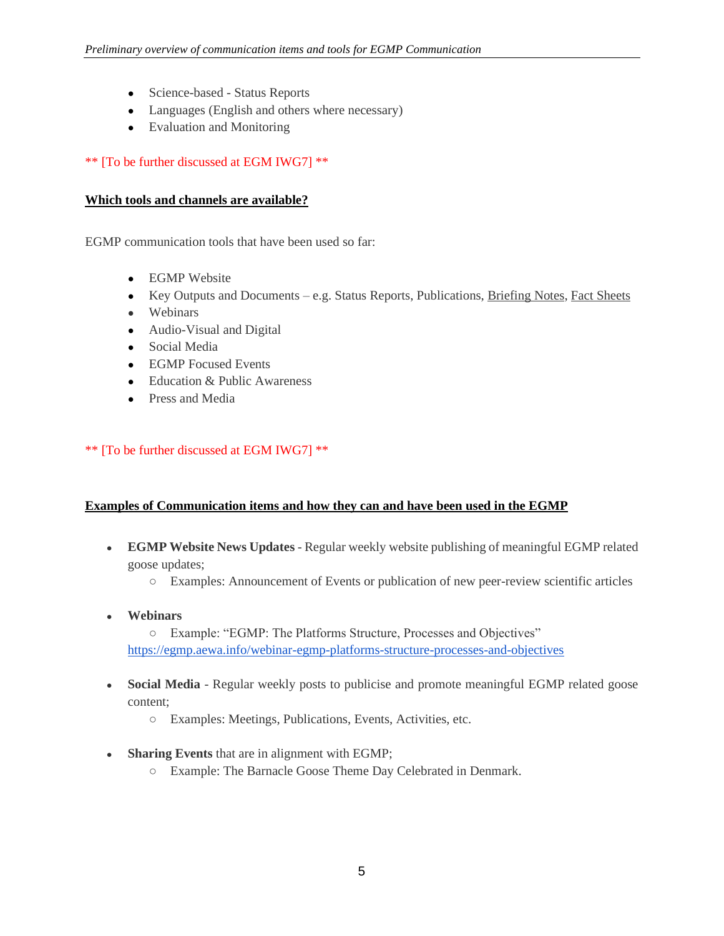- Science-based Status Reports
- Languages (English and others where necessary)
- Evaluation and Monitoring

## \*\* [To be further discussed at EGM IWG7] \*\*

#### **Which tools and channels are available?**

EGMP communication tools that have been used so far:

- EGMP Website
- Key Outputs and Documents e.g. Status Reports, Publications, Briefing Notes, Fact Sheets
- Webinars
- Audio-Visual and Digital
- Social Media
- EGMP Focused Events
- Education & Public Awareness
- Press and Media

#### \*\* [To be further discussed at EGM IWG7] \*\*

#### **Examples of Communication items and how they can and have been used in the EGMP**

- **EGMP Website News Updates** Regular weekly website publishing of meaningful EGMP related goose updates;
	- Examples: Announcement of Events or publication of new peer-review scientific articles
- **Webinars**

○ Example: "EGMP: The Platforms Structure, Processes and Objectives" <https://egmp.aewa.info/webinar-egmp-platforms-structure-processes-and-objectives>

- Social Media Regular weekly posts to publicise and promote meaningful EGMP related goose content;
	- Examples: Meetings, Publications, Events, Activities, etc.
- **Sharing Events** that are in alignment with EGMP;
	- Example: The Barnacle Goose Theme Day Celebrated in Denmark.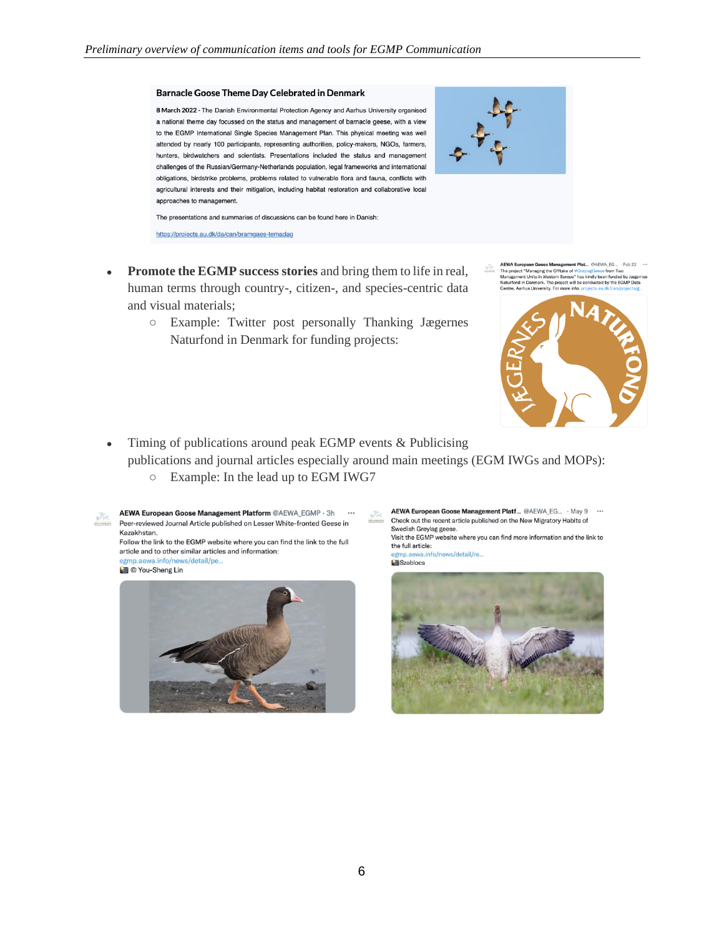#### **Barnacle Goose Theme Day Celebrated in Denmark**

8 March 2022 - The Danish Environmental Protection Agency and Aarhus University organised a national theme day focussed on the status and management of barnacle geese, with a view to the EGMP International Single Species Management Plan. This physical meeting was well attended by nearly 100 participants, representing authorities, policy-makers, NGOs, farmers, hunters, birdwatchers and scientists. Presentations included the status and management challenges of the Russian/Germany-Netherlands population, legal frameworks and international obligations, birdstrike problems, problems related to vulnerable flora and fauna, conflicts with agricultural interests and their mitigation, including habitat restoration and collaborative local approaches to management.



The presentations and summaries of discussions can be found here in Danish:

https://projects.au.dk/da/can/bramgaes-temadag

- Promote the EGMP success stories and bring them to life in real, human terms through country-, citizen-, and species-centric data and visual materials;
	- Example: Twitter post personally Thanking Jægernes Naturfond in Denmark for funding projects:
- AEWA European Goose Management Plat... @AEWA EG... Feb 22<br>The project "Managing the Offtake of  $\#{\rm Gr}_{{\mathfrak V}}$ /aggesses from Two<br>Management Units in Western Europe' has kindly been funded by Jangta<br>Naturford in Demnark. ement Plat... @AEWA\_EG... · Feb 22 …



- Timing of publications around peak EGMP events & Publicising publications and journal articles especially around main meetings (EGM IWGs and MOPs):
	- Example: In the lead up to EGM IWG7





AEWA European Goose Management Platf... @AEWA EG... . May 9 PA Check out the recent article published on the New Migratory Habits of Swedish Greylag geese.

Visit the EGMP website where you can find more information and the link to the full article:

egmp.aewa.info/news/detail/re... Szablocs

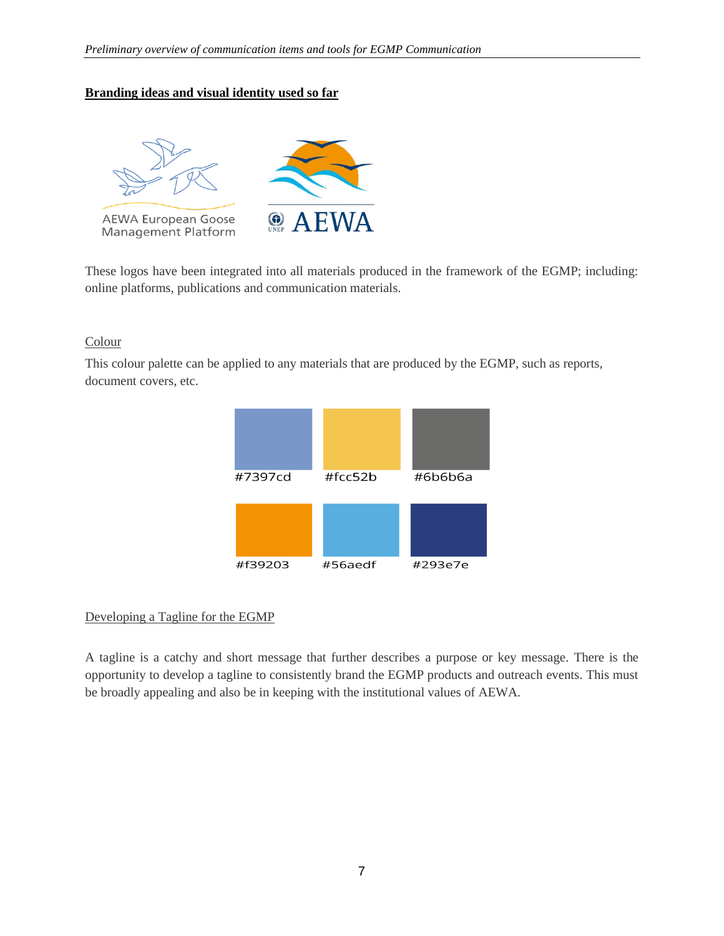## **Branding ideas and visual identity used so far**



These logos have been integrated into all materials produced in the framework of the EGMP; including: online platforms, publications and communication materials.

#### **Colour**

This colour palette can be applied to any materials that are produced by the EGMP, such as reports, document covers, etc.



# Developing a Tagline for the EGMP

A tagline is a catchy and short message that further describes a purpose or key message. There is the opportunity to develop a tagline to consistently brand the EGMP products and outreach events. This must be broadly appealing and also be in keeping with the institutional values of AEWA.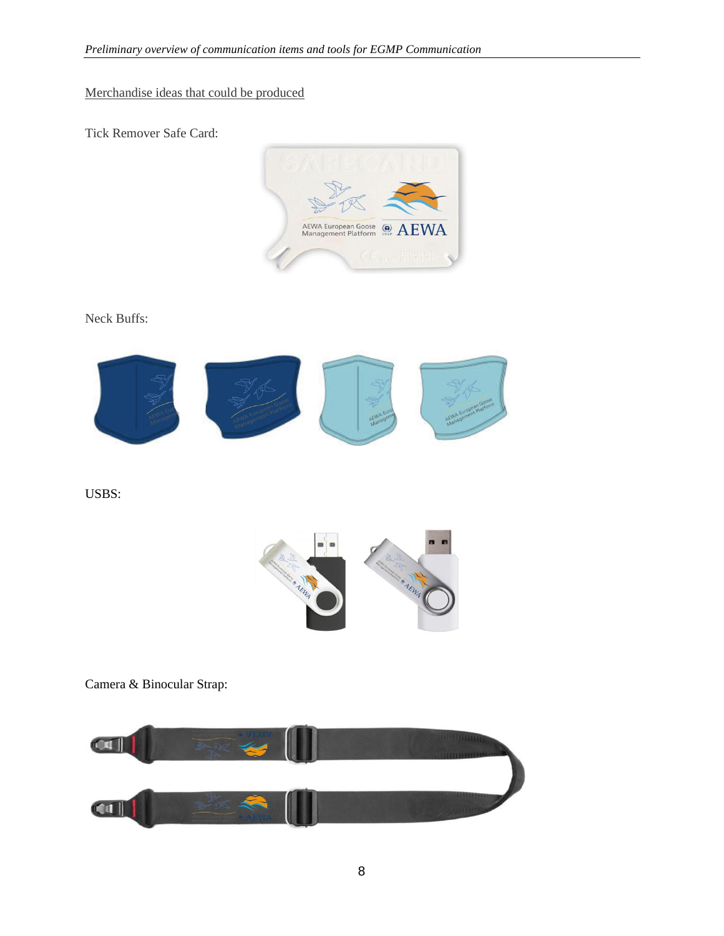# Merchandise ideas that could be produced

Tick Remover Safe Card:



Neck Buffs:



USBS:



Camera & Binocular Strap:

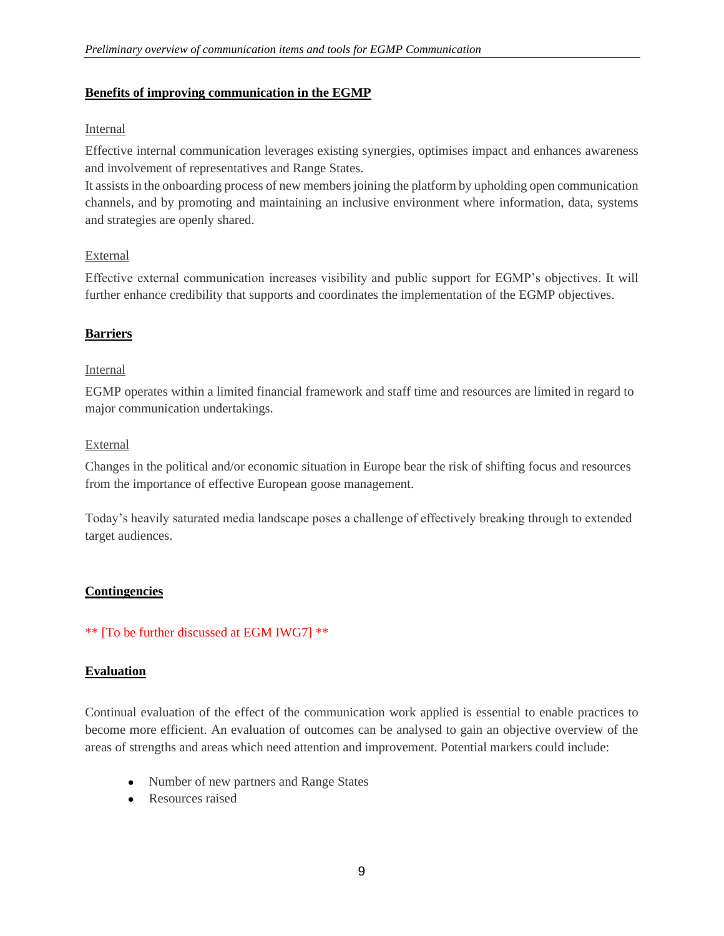#### **Benefits of improving communication in the EGMP**

#### Internal

Effective internal communication leverages existing synergies, optimises impact and enhances awareness and involvement of representatives and Range States.

It assists in the onboarding process of new members joining the platform by upholding open communication channels, and by promoting and maintaining an inclusive environment where information, data, systems and strategies are openly shared.

#### External

Effective external communication increases visibility and public support for EGMP's objectives. It will further enhance credibility that supports and coordinates the implementation of the EGMP objectives.

# **Barriers**

#### Internal

EGMP operates within a limited financial framework and staff time and resources are limited in regard to major communication undertakings.

#### External

Changes in the political and/or economic situation in Europe bear the risk of shifting focus and resources from the importance of effective European goose management.

Today's heavily saturated media landscape poses a challenge of effectively breaking through to extended target audiences.

# **Contingencies**

# \*\* [To be further discussed at EGM IWG7] \*\*

# **Evaluation**

Continual evaluation of the effect of the communication work applied is essential to enable practices to become more efficient. An evaluation of outcomes can be analysed to gain an objective overview of the areas of strengths and areas which need attention and improvement. Potential markers could include:

- Number of new partners and Range States
- Resources raised